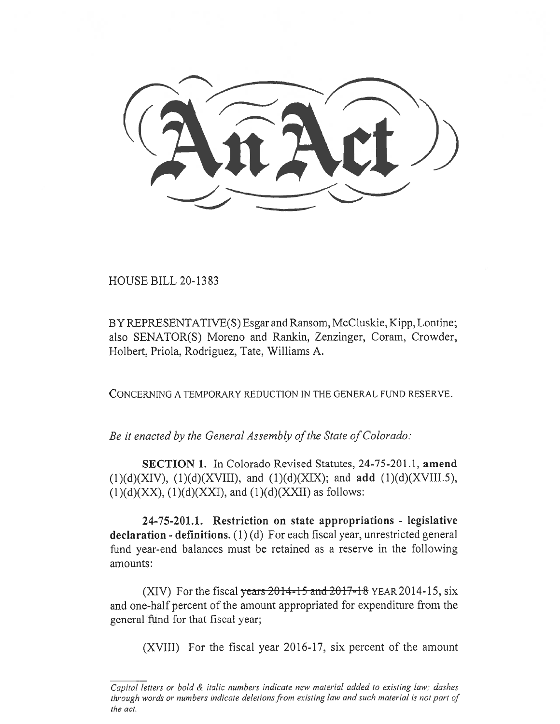HOUSE BILL 20-1383

BY REPRESENTATIVE(S) Esgar and Ransom, McCluskie, Kipp, Lontine; also SENATOR(S) Moreno and Rankin, Zenzinger, Coram, Crowder, Holbert, Priola, Rodriguez, Tate, Williams A.

CONCERNING A TEMPORARY REDUCTION IN THE GENERAL FUND RESERVE.

*Be it enacted by the General Assembly of the State of Colorado:* 

**SECTION 1.** In Colorado Revised Statutes, 24-75-201.1, **amend**  (1)(d)(XIV), (1)(d)(XVIII), and (1)(d)(XIX); and **add** (1)(d)(XVIII.5),  $(1)(d)(XX)$ ,  $(1)(d)(XX)$ , and  $(1)(d)(XX)$  as follows:

**24-75-201.1. Restriction on state appropriations - legislative declaration - definitions. (1)** (d) For each fiscal year, unrestricted general fund year-end balances must be retained as a reserve in the following amounts:

(XIV) For the fiscal years  $2014 - 15$  and  $2017 - 18$  YEAR 2014-15, six and one-half percent of the amount appropriated for expenditure from the general fund for that fiscal year;

(XVIII) For the fiscal year 2016-17, six percent of the amount

*Capital letters or bold & italic numbers indicate new material added to existing law; dashes through words or numbers indicate deletions from existing law and such material is not part of the act.*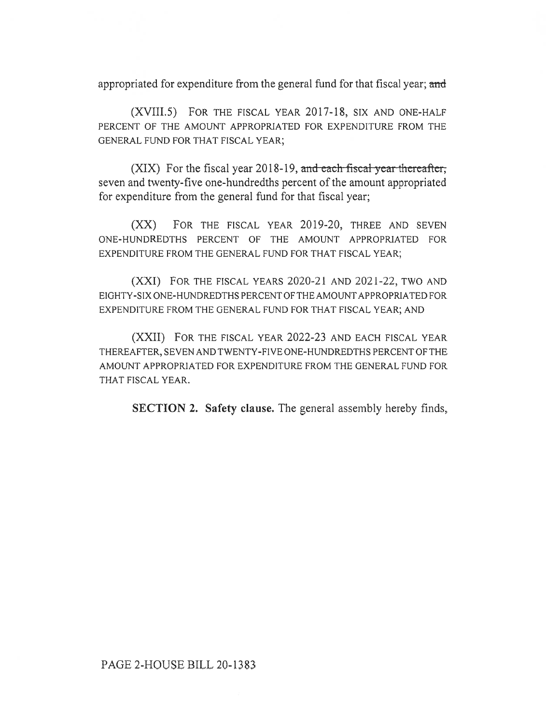appropriated for expenditure from the general fund for that fiscal year; and

(XVIII.5) FOR THE FISCAL YEAR 2017-18, SIX AND ONE-HALF PERCENT OF THE AMOUNT APPROPRIATED FOR EXPENDITURE FROM THE GENERAL FUND FOR THAT FISCAL YEAR;

 $(XIX)$  For the fiscal year 2018-19, and each fiscal year thereafter, seven and twenty-five one-hundredths percent of the amount appropriated for expenditure from the general fund for that fiscal year;

(XX) FOR THE FISCAL YEAR 2019-20, THREE AND SEVEN ONE-HUNDREDTHS PERCENT OF THE AMOUNT APPROPRIATED FOR EXPENDITURE FROM THE GENERAL FUND FOR THAT FISCAL YEAR;

(XXI) FOR THE FISCAL YEARS 2020-21 AND 2021-22, TWO AND EIGHTY-SIX ONE-HUNDREDTHS PERCENT OF THE AMOUNT APPROPRIATED FOR EXPENDITURE FROM THE GENERAL FUND FOR THAT FISCAL YEAR; AND

(XXII) FOR THE FISCAL YEAR 2022-23 AND EACH FISCAL YEAR THEREAFTER, SEVEN AND TWENTY-FIVE ONE-HUNDREDTHS PERCENT OF THE AMOUNT APPROPRIATED FOR EXPENDITURE FROM THE GENERAL FUND FOR THAT FISCAL YEAR.

**SECTION 2. Safety clause.** The general assembly hereby finds,